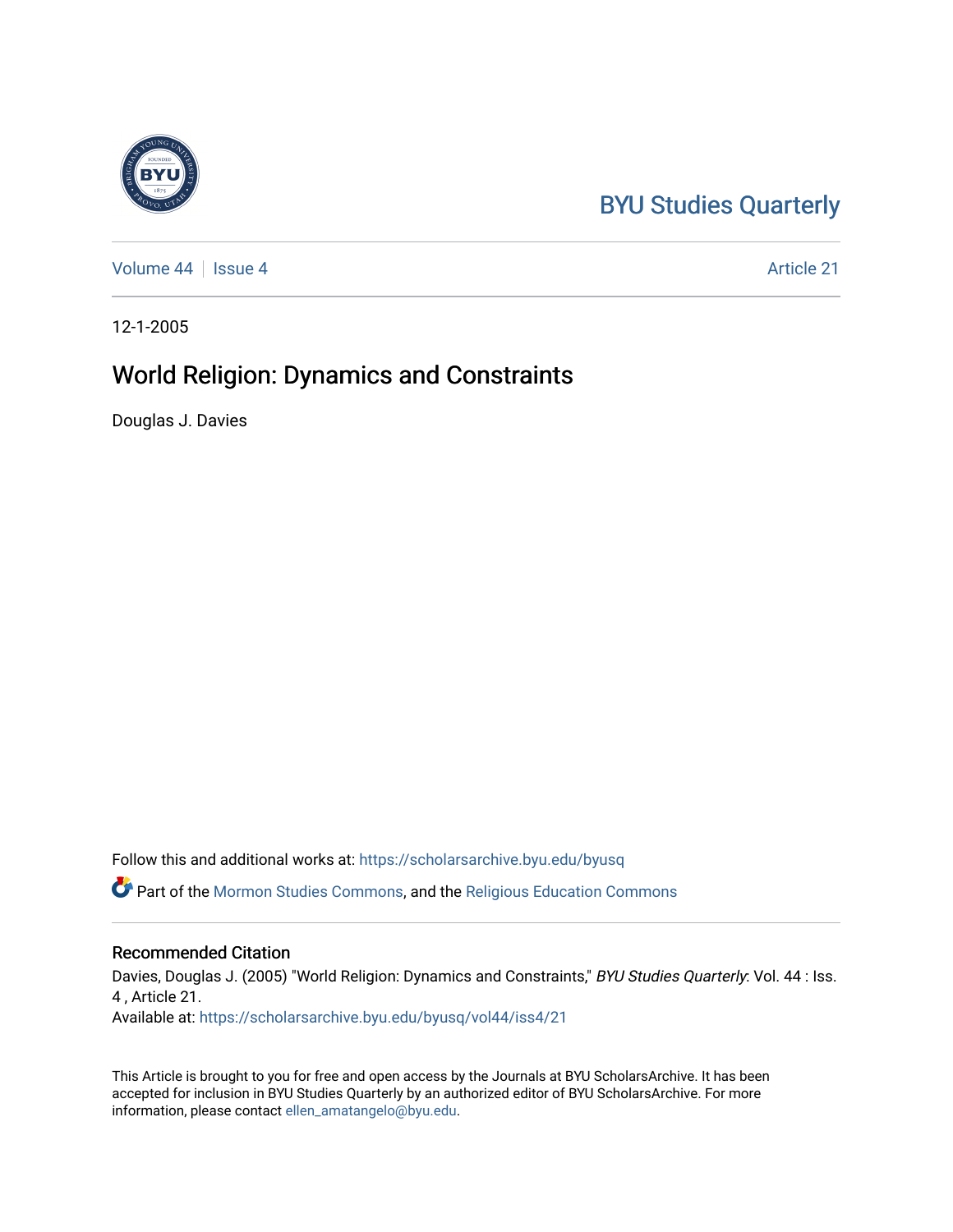## [BYU Studies Quarterly](https://scholarsarchive.byu.edu/byusq)

[Volume 44](https://scholarsarchive.byu.edu/byusq/vol44) | [Issue 4](https://scholarsarchive.byu.edu/byusq/vol44/iss4) Article 21

12-1-2005

## World Religion: Dynamics and Constraints

Douglas J. Davies

Follow this and additional works at: [https://scholarsarchive.byu.edu/byusq](https://scholarsarchive.byu.edu/byusq?utm_source=scholarsarchive.byu.edu%2Fbyusq%2Fvol44%2Fiss4%2F21&utm_medium=PDF&utm_campaign=PDFCoverPages) 

Part of the [Mormon Studies Commons](http://network.bepress.com/hgg/discipline/1360?utm_source=scholarsarchive.byu.edu%2Fbyusq%2Fvol44%2Fiss4%2F21&utm_medium=PDF&utm_campaign=PDFCoverPages), and the [Religious Education Commons](http://network.bepress.com/hgg/discipline/1414?utm_source=scholarsarchive.byu.edu%2Fbyusq%2Fvol44%2Fiss4%2F21&utm_medium=PDF&utm_campaign=PDFCoverPages) 

## Recommended Citation

Davies, Douglas J. (2005) "World Religion: Dynamics and Constraints," BYU Studies Quarterly: Vol. 44 : Iss. 4 , Article 21. Available at: [https://scholarsarchive.byu.edu/byusq/vol44/iss4/21](https://scholarsarchive.byu.edu/byusq/vol44/iss4/21?utm_source=scholarsarchive.byu.edu%2Fbyusq%2Fvol44%2Fiss4%2F21&utm_medium=PDF&utm_campaign=PDFCoverPages) 

This Article is brought to you for free and open access by the Journals at BYU ScholarsArchive. It has been accepted for inclusion in BYU Studies Quarterly by an authorized editor of BYU ScholarsArchive. For more information, please contact [ellen\\_amatangelo@byu.edu.](mailto:ellen_amatangelo@byu.edu)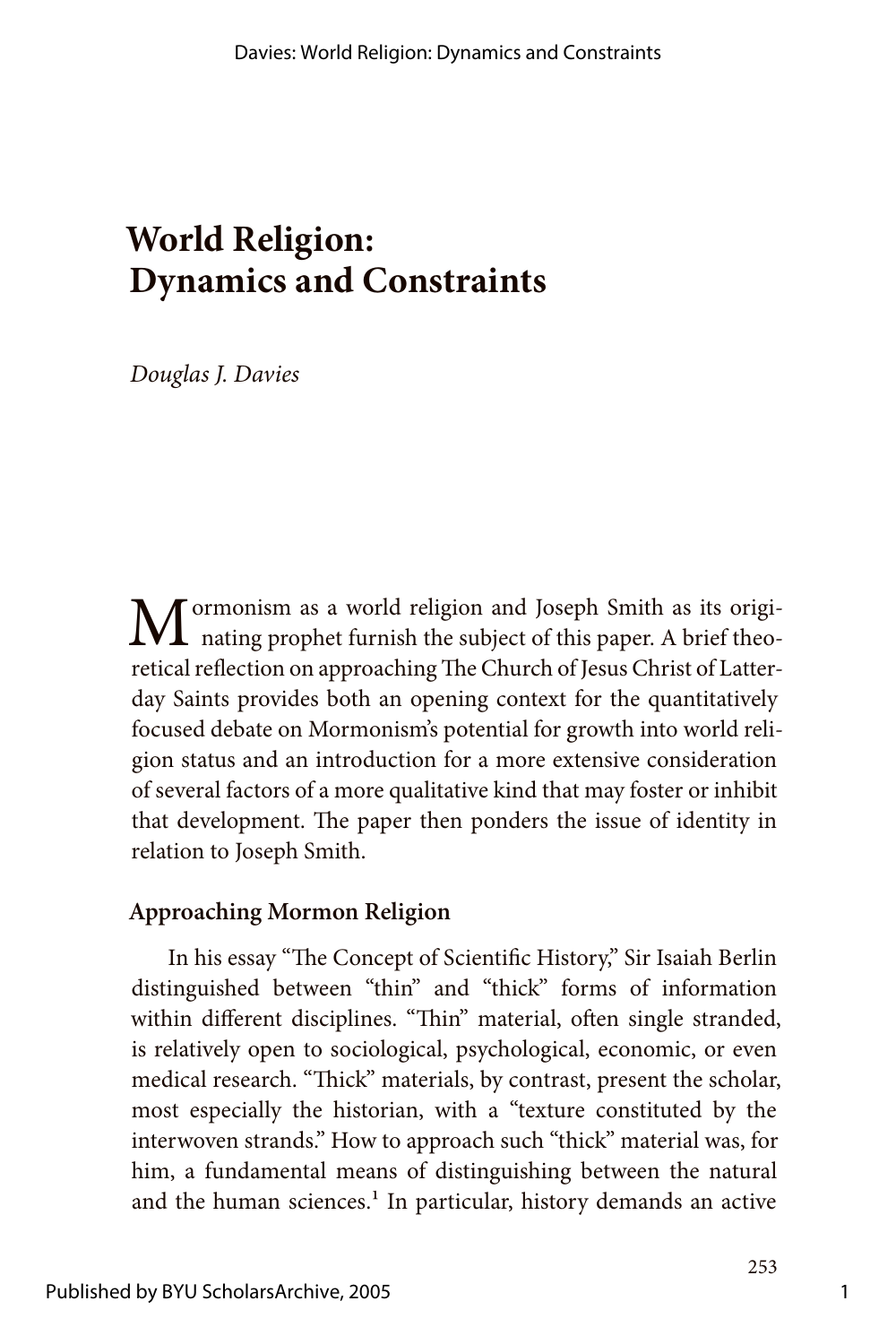# **World Religion: Dynamics and Constraints**

*Douglas J. Davies*

Mormonism as a world religion and Joseph Smith as its origi-<br>
nating prophet furnish the subject of this paper. A brief theoretical reflection on approaching The Church of Jesus Christ of Latterday Saints provides both an opening context for the quantitatively focused debate on Mormonism's potential for growth into world religion status and an introduction for a more extensive consideration of several factors of a more qualitative kind that may foster or inhibit that development. The paper then ponders the issue of identity in relation to Joseph Smith.

## **Approaching Mormon Religion**

 In his essay "The Concept of Scientific History," Sir Isaiah Berlin distinguished between "thin" and "thick" forms of information within different disciplines. "Thin" material, often single stranded, is relatively open to sociological, psychological, economic, or even medical research. "Thick" materials, by contrast, present the scholar, most especially the historian, with a "texture constituted by the interwoven strands." How to approach such "thick" material was, for him, a fundamental means of distinguishing between the natural and the human sciences.<sup>1</sup> In particular, history demands an active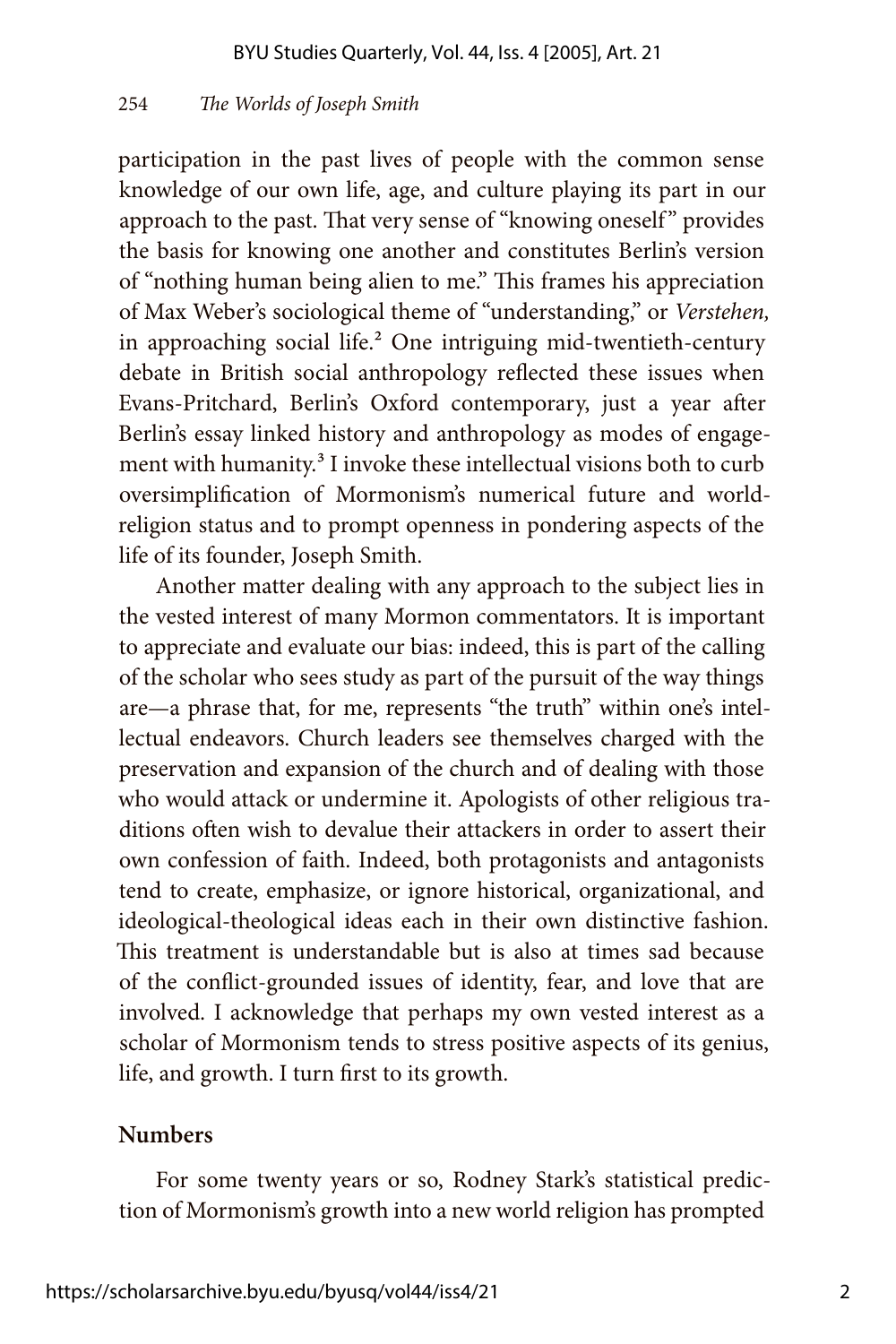participation in the past lives of people with the common sense knowledge of our own life, age, and culture playing its part in our approach to the past. That very sense of "knowing oneself" provides the basis for knowing one another and constitutes Berlin's version of "nothing human being alien to me." This frames his appreciation of Max Weber's sociological theme of "understanding," or *Verstehen,* in approaching social life.² One intriguing mid-twentieth-century debate in British social anthropology reflected these issues when Evans-Pritchard, Berlin's Oxford contemporary, just a year after Berlin's essay linked history and anthropology as modes of engagement with humanity.<sup>3</sup> I invoke these intellectual visions both to curb oversimplification of Mormonism's numerical future and worldreligion status and to prompt openness in pondering aspects of the life of its founder, Joseph Smith.

 Another matter dealing with any approach to the subject lies in the vested interest of many Mormon commentators. It is important to appreciate and evaluate our bias: indeed, this is part of the calling of the scholar who sees study as part of the pursuit of the way things are—a phrase that, for me, represents "the truth" within one's intellectual endeavors. Church leaders see themselves charged with the preservation and expansion of the church and of dealing with those who would attack or undermine it. Apologists of other religious traditions often wish to devalue their attackers in order to assert their own confession of faith. Indeed, both protagonists and antagonists tend to create, emphasize, or ignore historical, organizational, and ideological-theological ideas each in their own distinctive fashion. This treatment is understandable but is also at times sad because of the conflict-grounded issues of identity, fear, and love that are involved. I acknowledge that perhaps my own vested interest as a scholar of Mormonism tends to stress positive aspects of its genius, life, and growth. I turn first to its growth.

### **Numbers**

 For some twenty years or so, Rodney Stark's statistical prediction of Mormonism's growth into a new world religion has prompted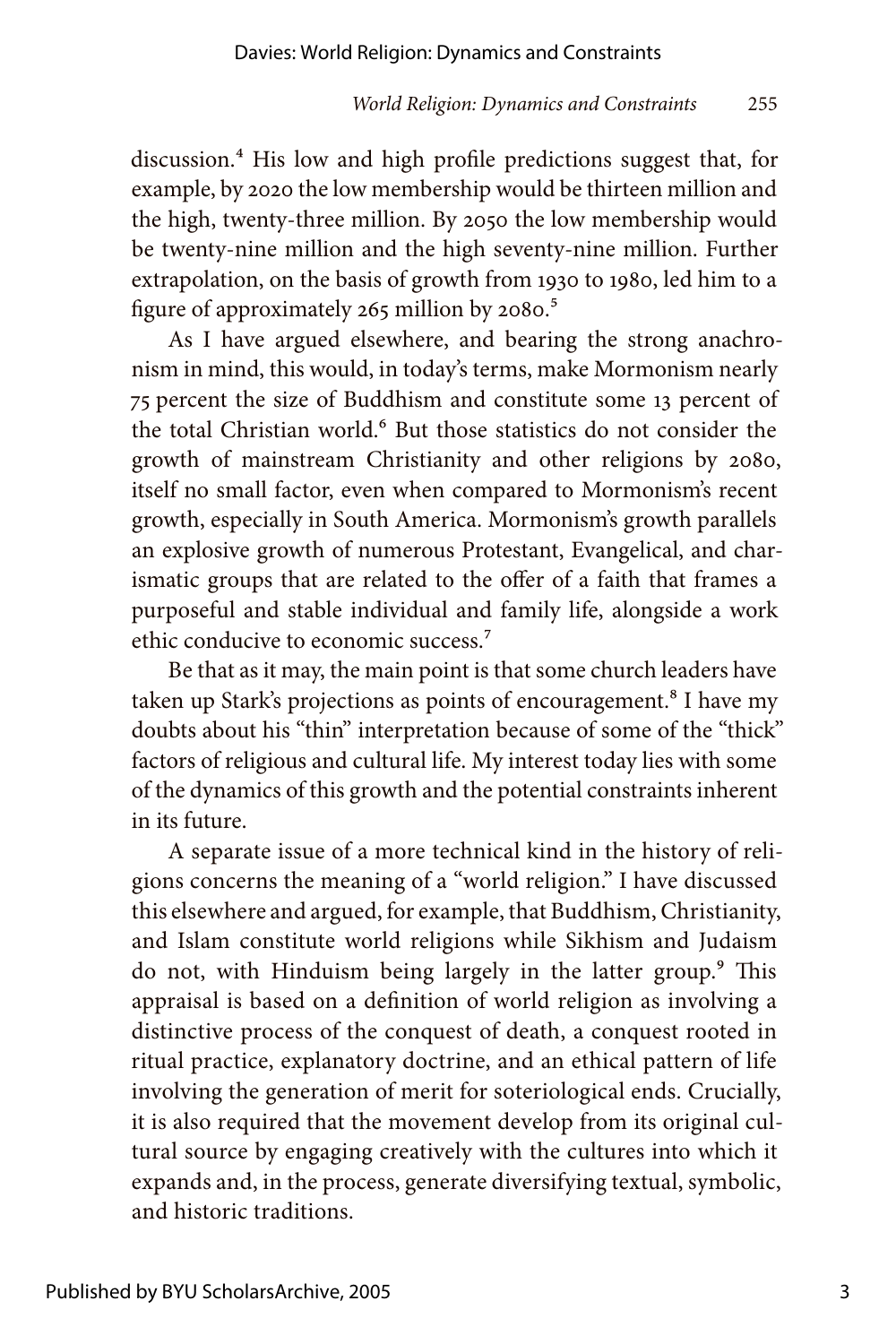discussion.<sup>4</sup> His low and high profile predictions suggest that, for example, by 2020 the low membership would be thirteen million and the high, twenty-three million. By 2050 the low membership would be twenty-nine million and the high seventy-nine million. Further extrapolation, on the basis of growth from 1930 to 1980, led him to a figure of approximately 265 million by 2080.<sup>5</sup>

 As I have argued elsewhere, and bearing the strong anachronism in mind, this would, in today's terms, make Mormonism nearly 75 percent the size of Buddhism and constitute some 13 percent of the total Christian world.<sup>6</sup> But those statistics do not consider the growth of mainstream Christianity and other religions by 2080, itself no small factor, even when compared to Mormonism's recent growth, especially in South America. Mormonism's growth parallels an explosive growth of numerous Protestant, Evangelical, and charismatic groups that are related to the offer of a faith that frames a purposeful and stable individual and family life, alongside a work ethic conducive to economic success.<sup>7</sup>

 Be that as it may, the main point is that some church leaders have taken up Stark's projections as points of encouragement.<sup>8</sup> I have my doubts about his "thin" interpretation because of some of the "thick" factors of religious and cultural life. My interest today lies with some of the dynamics of this growth and the potential constraints inherent in its future.

 A separate issue of a more technical kind in the history of religions concerns the meaning of a "world religion." I have discussed this elsewhere and argued, for example, that Buddhism, Christianity, and Islam constitute world religions while Sikhism and Judaism do not, with Hinduism being largely in the latter group.<sup>9</sup> This appraisal is based on a definition of world religion as involving a distinctive process of the conquest of death, a conquest rooted in ritual practice, explanatory doctrine, and an ethical pattern of life involving the generation of merit for soteriological ends. Crucially, it is also required that the movement develop from its original cultural source by engaging creatively with the cultures into which it expands and, in the process, generate diversifying textual, symbolic, and historic traditions.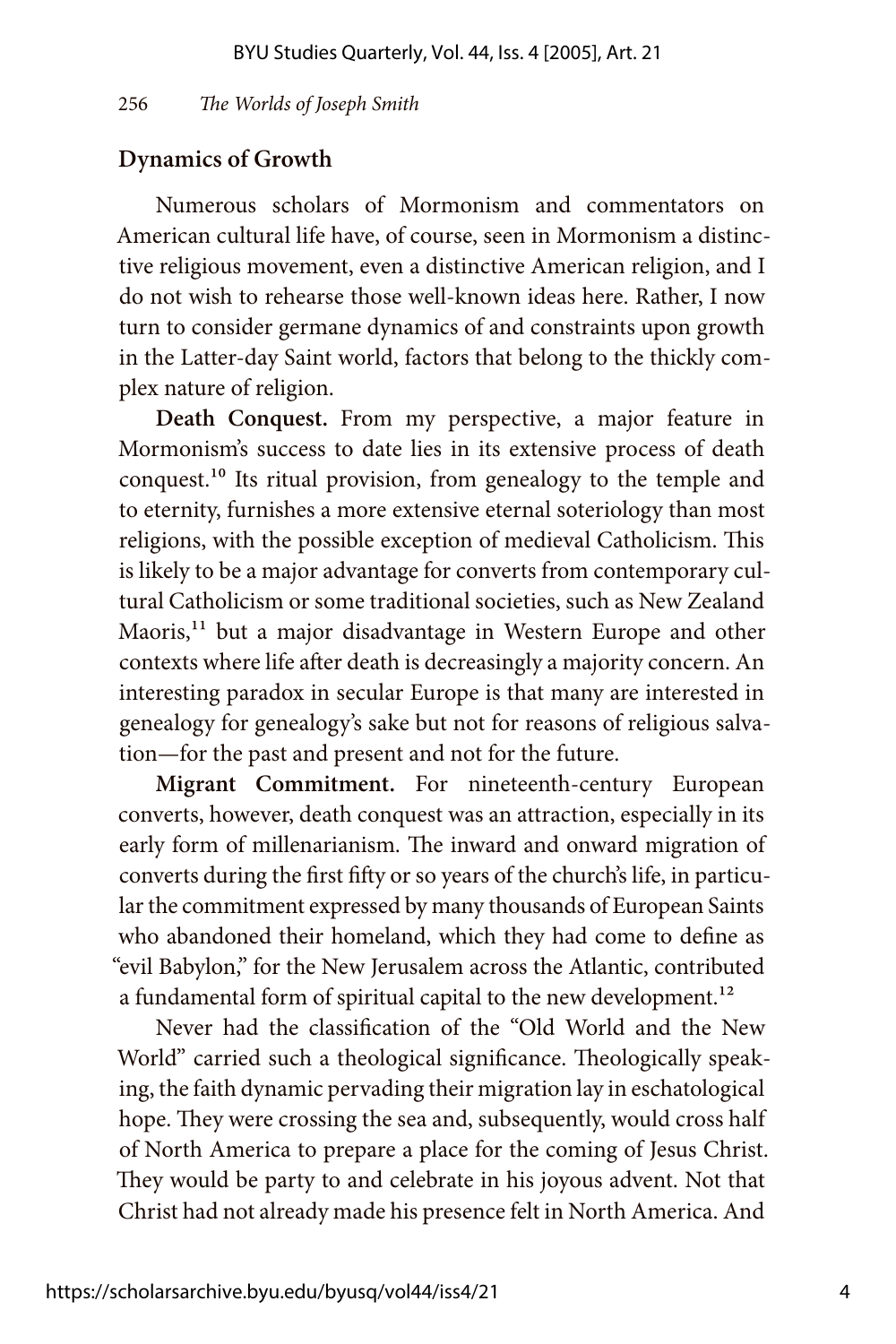## **Dynamics of Growth**

 Numerous scholars of Mormonism and commentators on American cultural life have, of course, seen in Mormonism a distinctive religious movement, even a distinctive American religion, and I do not wish to rehearse those well-known ideas here. Rather, I now turn to consider germane dynamics of and constraints upon growth in the Latter-day Saint world, factors that belong to the thickly complex nature of religion.

**Death Conquest.** From my perspective, a major feature in Mormonism's success to date lies in its extensive process of death conquest.<sup>10</sup> Its ritual provision, from genealogy to the temple and to eternity, furnishes a more extensive eternal soteriology than most religions, with the possible exception of medieval Catholicism. This is likely to be a major advantage for converts from contemporary cultural Catholicism or some traditional societies, such as New Zealand Maoris,<sup>11</sup> but a major disadvantage in Western Europe and other contexts where life after death is decreasingly a majority concern. An interesting paradox in secular Europe is that many are interested in genealogy for genealogy's sake but not for reasons of religious salvation—for the past and present and not for the future.

**Migrant Commitment.** For nineteenth-century European converts, however, death conquest was an attraction, especially in its early form of millenarianism. The inward and onward migration of converts during the first fifty or so years of the church's life, in particular the commitment expressed by many thousands of European Saints who abandoned their homeland, which they had come to define as "evil Babylon," for the New Jerusalem across the Atlantic, contributed a fundamental form of spiritual capital to the new development.<sup>12</sup>

 Never had the classification of the "Old World and the New World" carried such a theological significance. Theologically speaking, the faith dynamic pervading their migration lay in eschatological hope. They were crossing the sea and, subsequently, would cross half of North America to prepare a place for the coming of Jesus Christ. They would be party to and celebrate in his joyous advent. Not that Christ had not already made his presence felt in North America. And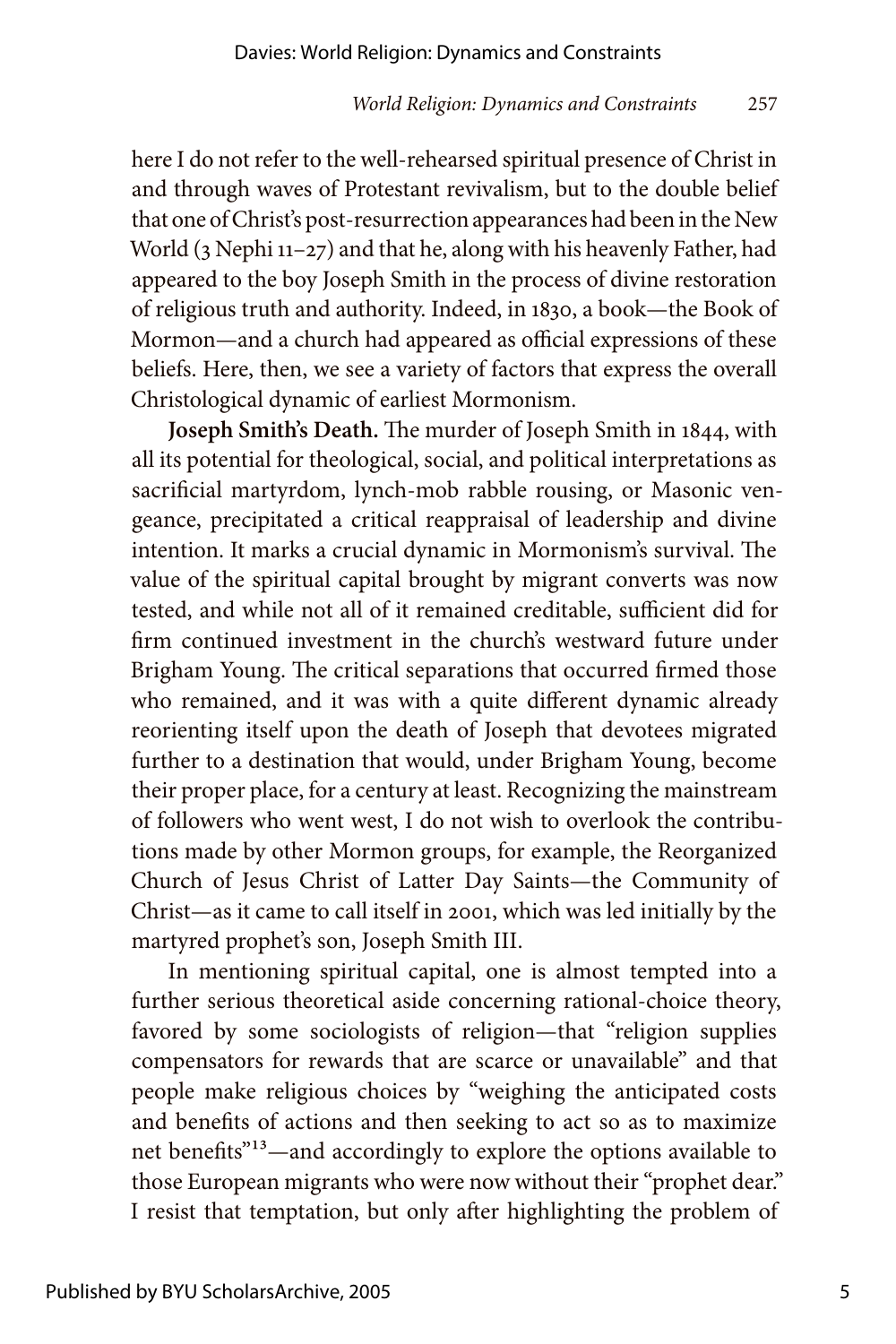here I do not refer to the well-rehearsed spiritual presence of Christ in and through waves of Protestant revivalism, but to the double belief that one of Christ's post-resurrection appearances had been in the New World (3 Nephi  $11-27$ ) and that he, along with his heavenly Father, had appeared to the boy Joseph Smith in the process of divine restoration of religious truth and authority. Indeed, in 1830, a book—the Book of Mormon—and a church had appeared as official expressions of these beliefs. Here, then, we see a variety of factors that express the overall Christological dynamic of earliest Mormonism.

**Joseph Smith's Death.** The murder of Joseph Smith in 1844, with all its potential for theological, social, and political interpretations as sacrificial martyrdom, lynch-mob rabble rousing, or Masonic vengeance, precipitated a critical reappraisal of leadership and divine intention. It marks a crucial dynamic in Mormonism's survival. The value of the spiritual capital brought by migrant converts was now tested, and while not all of it remained creditable, sufficient did for firm continued investment in the church's westward future under Brigham Young. The critical separations that occurred firmed those who remained, and it was with a quite different dynamic already reorienting itself upon the death of Joseph that devotees migrated further to a destination that would, under Brigham Young, become their proper place, for a century at least. Recognizing the mainstream of followers who went west, I do not wish to overlook the contributions made by other Mormon groups, for example, the Reorganized Church of Jesus Christ of Latter Day Saints—the Community of Christ—as it came to call itself in 200, which was led initially by the martyred prophet's son, Joseph Smith III.

 In mentioning spiritual capital, one is almost tempted into a further serious theoretical aside concerning rational-choice theory, favored by some sociologists of religion—that "religion supplies compensators for rewards that are scarce or unavailable" and that people make religious choices by "weighing the anticipated costs and benefits of actions and then seeking to act so as to maximize net benefits"<sup>13</sup>—and accordingly to explore the options available to those European migrants who were now without their "prophet dear." I resist that temptation, but only after highlighting the problem of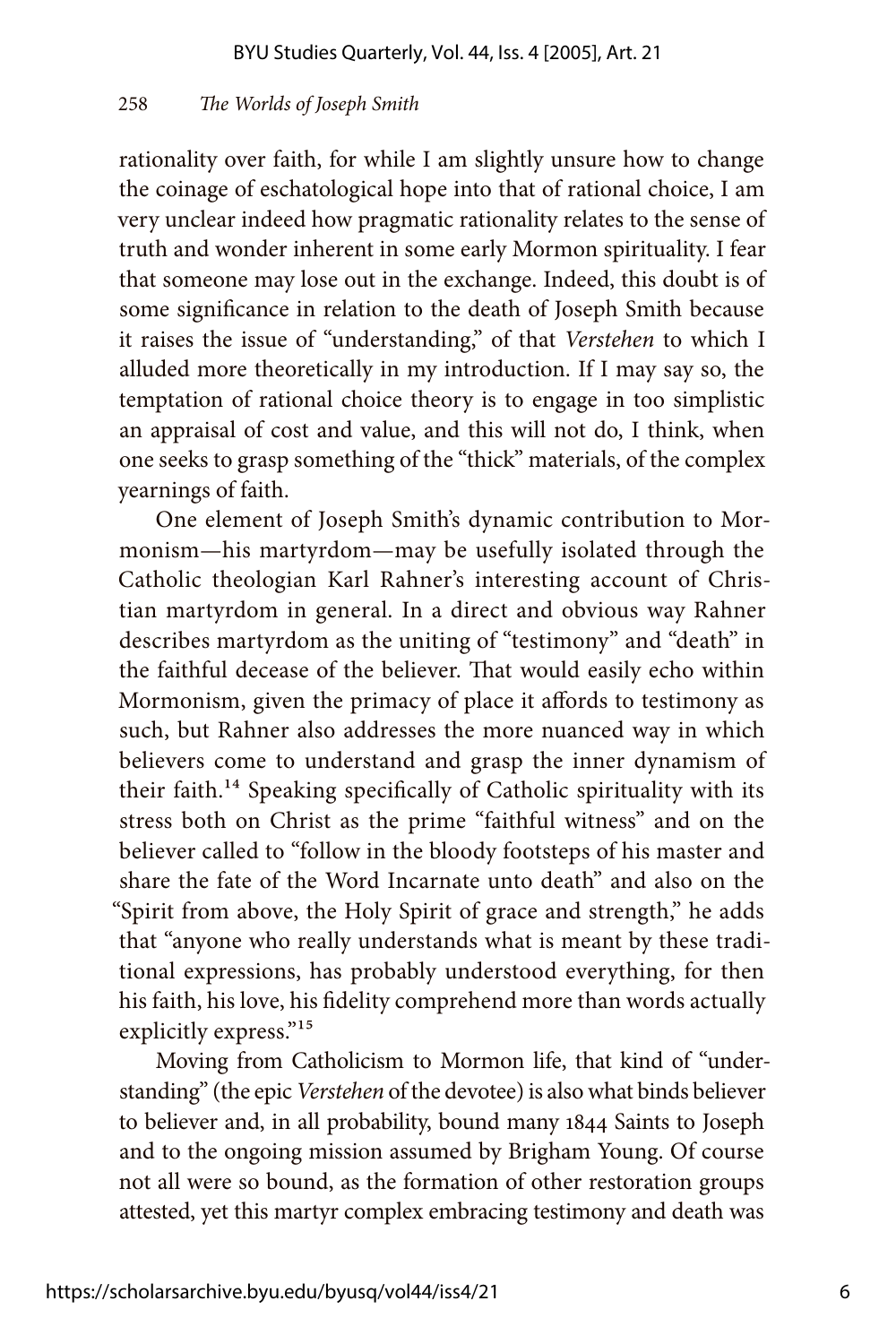rationality over faith, for while I am slightly unsure how to change the coinage of eschatological hope into that of rational choice, I am very unclear indeed how pragmatic rationality relates to the sense of truth and wonder inherent in some early Mormon spirituality. I fear that someone may lose out in the exchange. Indeed, this doubt is of some significance in relation to the death of Joseph Smith because it raises the issue of "understanding," of that *Verstehen* to which I alluded more theoretically in my introduction. If I may say so, the temptation of rational choice theory is to engage in too simplistic an appraisal of cost and value, and this will not do, I think, when one seeks to grasp something of the "thick" materials, of the complex yearnings of faith.

 One element of Joseph Smith's dynamic contribution to Mormonism—his martyrdom—may be usefully isolated through the Catholic theologian Karl Rahner's interesting account of Christian martyrdom in general. In a direct and obvious way Rahner describes martyrdom as the uniting of "testimony" and "death" in the faithful decease of the believer. That would easily echo within Mormonism, given the primacy of place it affords to testimony as such, but Rahner also addresses the more nuanced way in which believers come to understand and grasp the inner dynamism of their faith.<sup>14</sup> Speaking specifically of Catholic spirituality with its stress both on Christ as the prime "faithful witness" and on the believer called to "follow in the bloody footsteps of his master and share the fate of the Word Incarnate unto death" and also on the "Spirit from above, the Holy Spirit of grace and strength," he adds that "anyone who really understands what is meant by these traditional expressions, has probably understood everything, for then his faith, his love, his fidelity comprehend more than words actually explicitly express."<sup>15</sup>

 Moving from Catholicism to Mormon life, that kind of "understanding" (the epic *Verstehen* of the devotee) is also what binds believer to believer and, in all probability, bound many 844 Saints to Joseph and to the ongoing mission assumed by Brigham Young. Of course not all were so bound, as the formation of other restoration groups attested, yet this martyr complex embracing testimony and death was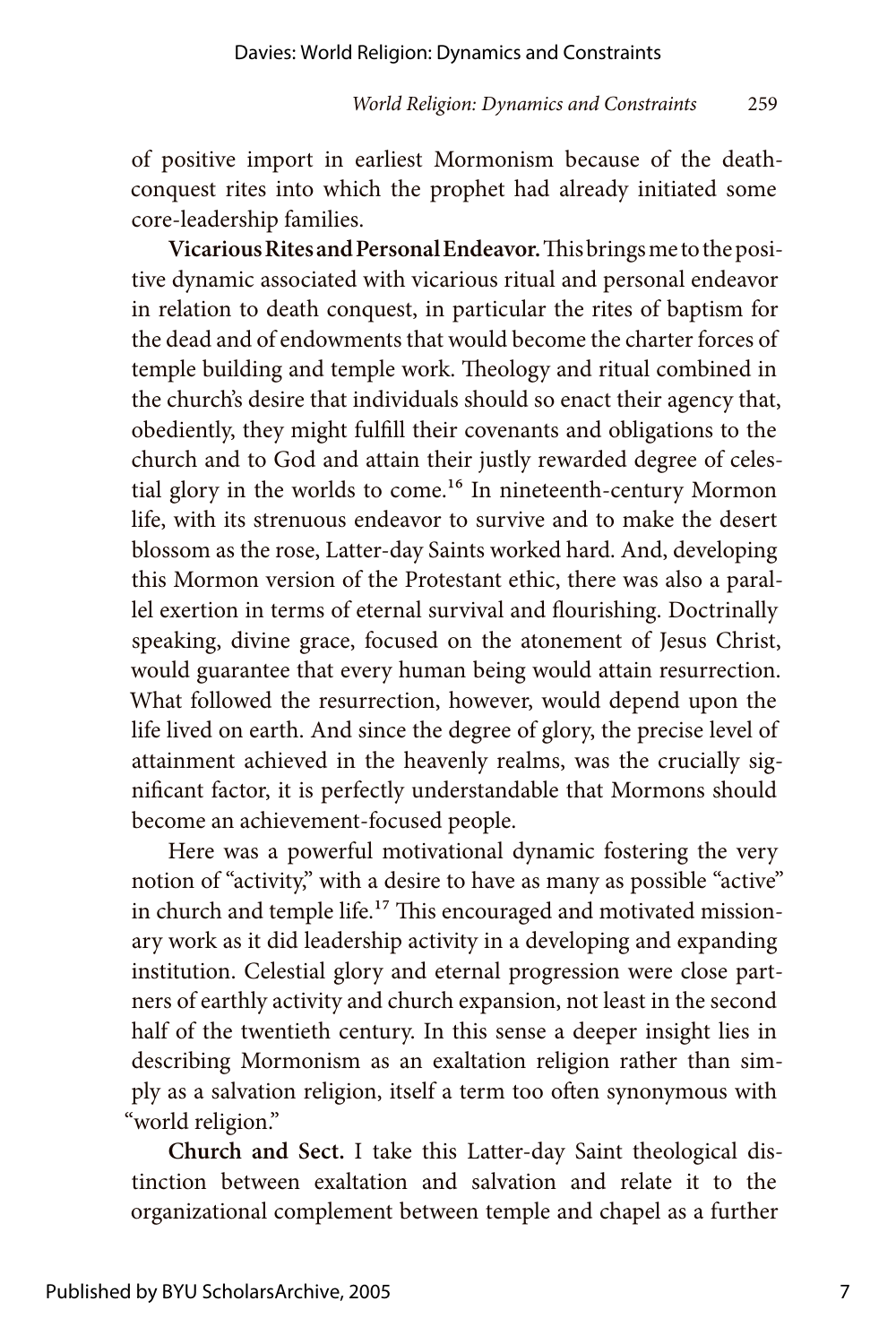of positive import in earliest Mormonism because of the deathconquest rites into which the prophet had already initiated some core-leadership families.

**Vicarious Rites and Personal Endeavor.**This brings me to the positive dynamic associated with vicarious ritual and personal endeavor in relation to death conquest, in particular the rites of baptism for the dead and of endowments that would become the charter forces of temple building and temple work. Theology and ritual combined in the church's desire that individuals should so enact their agency that, obediently, they might fulfill their covenants and obligations to the church and to God and attain their justly rewarded degree of celestial glory in the worlds to come.<sup>16</sup> In nineteenth-century Mormon life, with its strenuous endeavor to survive and to make the desert blossom as the rose, Latter-day Saints worked hard. And, developing this Mormon version of the Protestant ethic, there was also a parallel exertion in terms of eternal survival and flourishing. Doctrinally speaking, divine grace, focused on the atonement of Jesus Christ, would guarantee that every human being would attain resurrection. What followed the resurrection, however, would depend upon the life lived on earth. And since the degree of glory, the precise level of attainment achieved in the heavenly realms, was the crucially significant factor, it is perfectly understandable that Mormons should become an achievement-focused people.

 Here was a powerful motivational dynamic fostering the very notion of "activity," with a desire to have as many as possible "active" in church and temple life.<sup>17</sup> This encouraged and motivated missionary work as it did leadership activity in a developing and expanding institution. Celestial glory and eternal progression were close partners of earthly activity and church expansion, not least in the second half of the twentieth century. In this sense a deeper insight lies in describing Mormonism as an exaltation religion rather than simply as a salvation religion, itself a term too often synonymous with "world religion."

**Church and Sect.** I take this Latter-day Saint theological distinction between exaltation and salvation and relate it to the organizational complement between temple and chapel as a further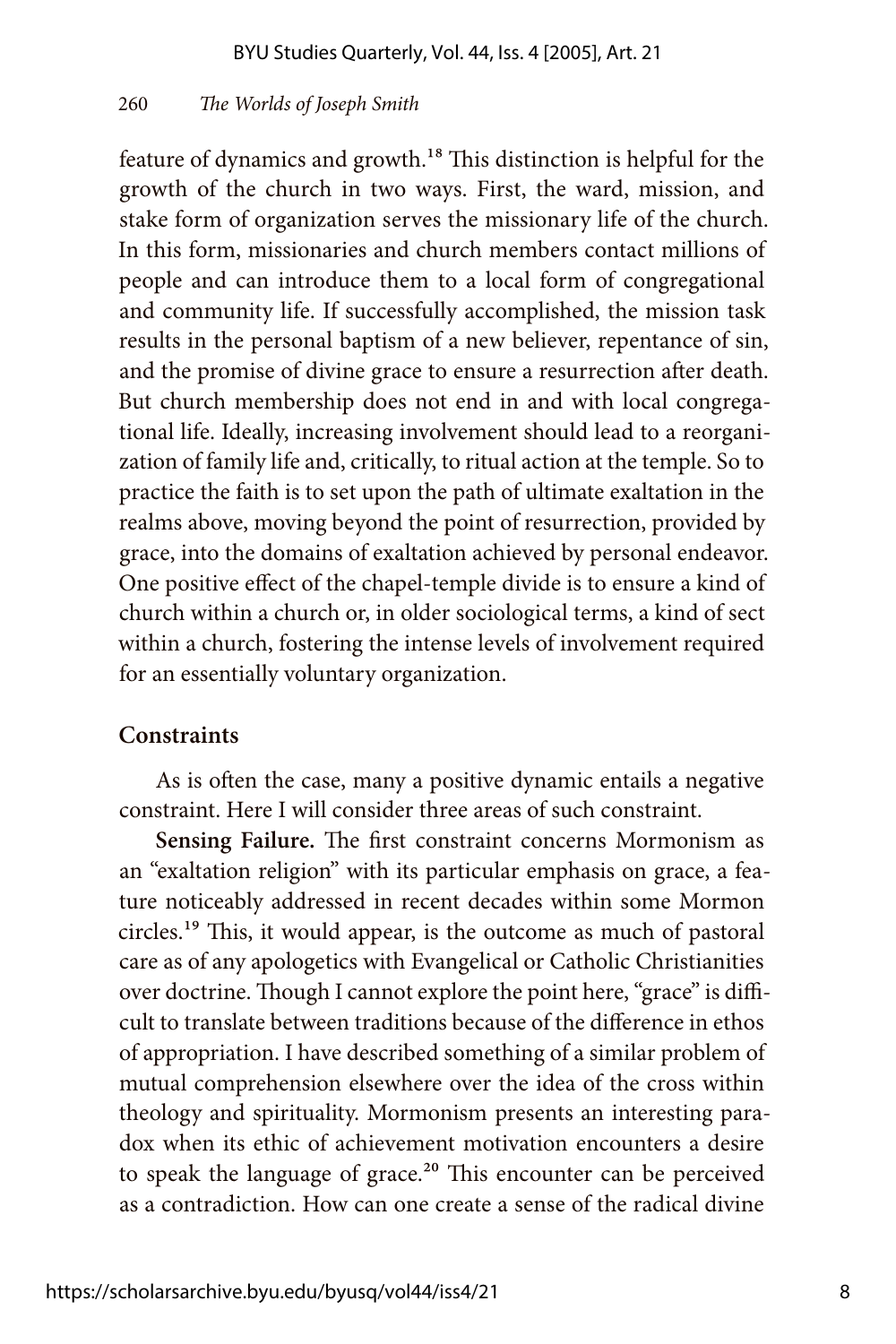feature of dynamics and growth.<sup>18</sup> This distinction is helpful for the growth of the church in two ways. First, the ward, mission, and stake form of organization serves the missionary life of the church. In this form, missionaries and church members contact millions of people and can introduce them to a local form of congregational and community life. If successfully accomplished, the mission task results in the personal baptism of a new believer, repentance of sin, and the promise of divine grace to ensure a resurrection after death. But church membership does not end in and with local congregational life. Ideally, increasing involvement should lead to a reorganization of family life and, critically, to ritual action at the temple. So to practice the faith is to set upon the path of ultimate exaltation in the realms above, moving beyond the point of resurrection, provided by grace, into the domains of exaltation achieved by personal endeavor. One positive effect of the chapel-temple divide is to ensure a kind of church within a church or, in older sociological terms, a kind of sect within a church, fostering the intense levels of involvement required for an essentially voluntary organization.

### **Constraints**

 As is often the case, many a positive dynamic entails a negative constraint. Here I will consider three areas of such constraint.

**Sensing Failure.** The first constraint concerns Mormonism as an "exaltation religion" with its particular emphasis on grace, a feature noticeably addressed in recent decades within some Mormon circles.<sup>19</sup> This, it would appear, is the outcome as much of pastoral care as of any apologetics with Evangelical or Catholic Christianities over doctrine. Though I cannot explore the point here, "grace" is difficult to translate between traditions because of the difference in ethos of appropriation. I have described something of a similar problem of mutual comprehension elsewhere over the idea of the cross within theology and spirituality. Mormonism presents an interesting paradox when its ethic of achievement motivation encounters a desire to speak the language of grace.<sup>20</sup> This encounter can be perceived as a contradiction. How can one create a sense of the radical divine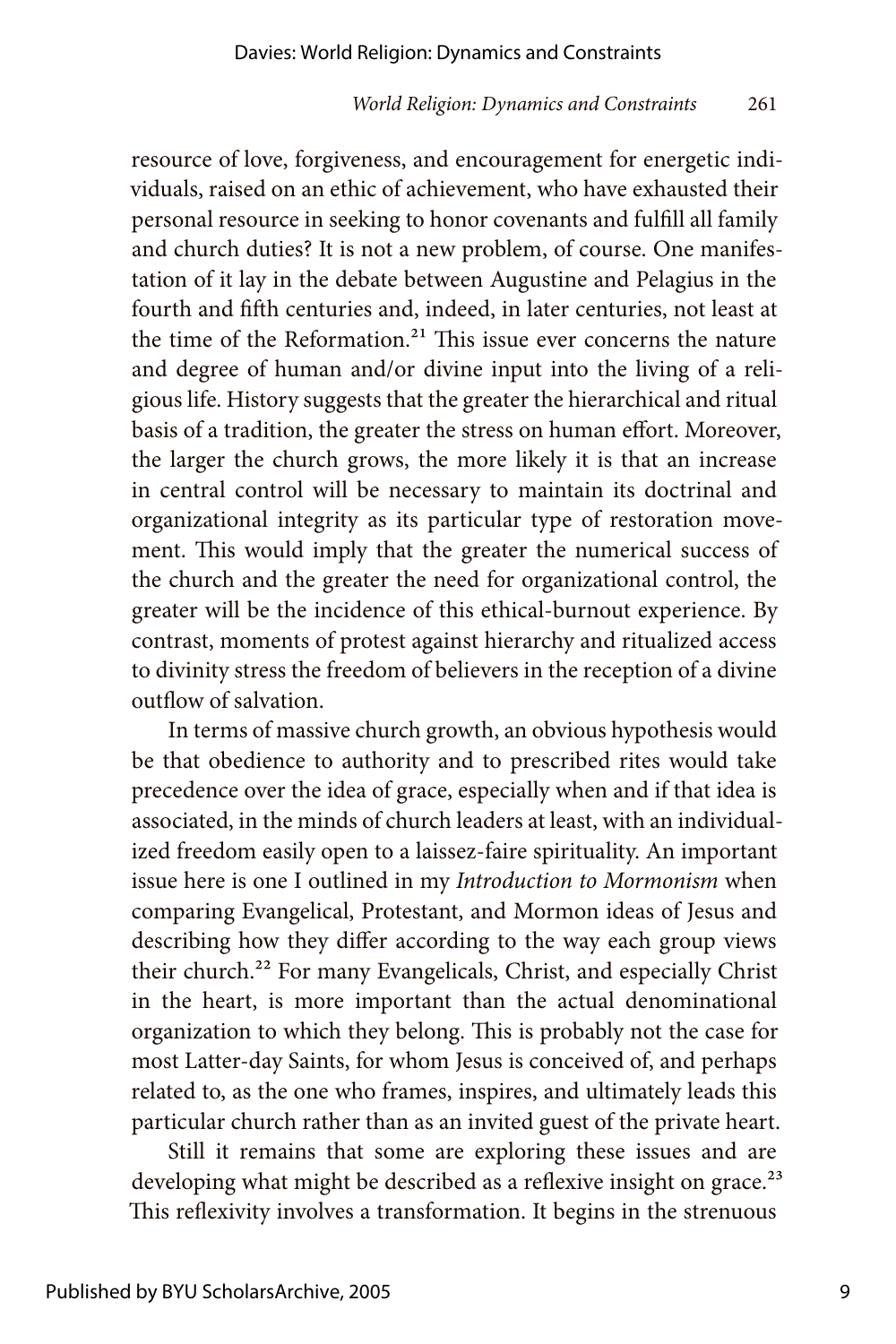resource of love, forgiveness, and encouragement for energetic individuals, raised on an ethic of achievement, who have exhausted their personal resource in seeking to honor covenants and fulfill all family and church duties? It is not a new problem, of course. One manifestation of it lay in the debate between Augustine and Pelagius in the fourth and fifth centuries and, indeed, in later centuries, not least at the time of the Reformation. $21$  This issue ever concerns the nature and degree of human and/or divine input into the living of a religious life. History suggests that the greater the hierarchical and ritual basis of a tradition, the greater the stress on human effort. Moreover, the larger the church grows, the more likely it is that an increase in central control will be necessary to maintain its doctrinal and organizational integrity as its particular type of restoration movement. This would imply that the greater the numerical success of the church and the greater the need for organizational control, the greater will be the incidence of this ethical-burnout experience. By contrast, moments of protest against hierarchy and ritualized access to divinity stress the freedom of believers in the reception of a divine outflow of salvation.

 In terms of massive church growth, an obvious hypothesis would be that obedience to authority and to prescribed rites would take precedence over the idea of grace, especially when and if that idea is associated, in the minds of church leaders at least, with an individualized freedom easily open to a laissez-faire spirituality. An important issue here is one I outlined in my *Introduction to Mormonism* when comparing Evangelical, Protestant, and Mormon ideas of Jesus and describing how they differ according to the way each group views their church.<sup>22</sup> For many Evangelicals, Christ, and especially Christ in the heart, is more important than the actual denominational organization to which they belong. This is probably not the case for most Latter-day Saints, for whom Jesus is conceived of, and perhaps related to, as the one who frames, inspires, and ultimately leads this particular church rather than as an invited guest of the private heart.

 Still it remains that some are exploring these issues and are developing what might be described as a reflexive insight on grace.<sup>23</sup> This reflexivity involves a transformation. It begins in the strenuous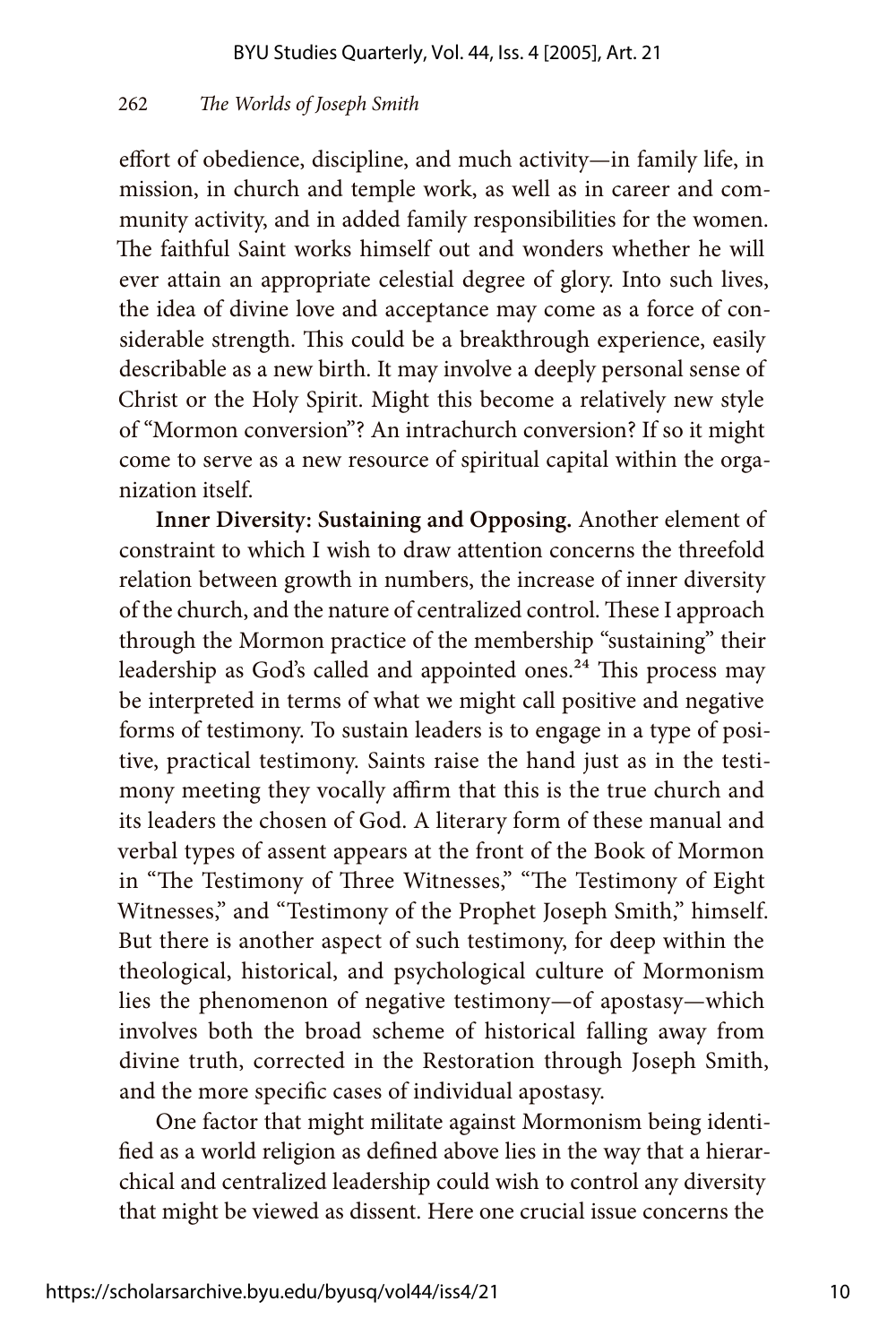effort of obedience, discipline, and much activity—in family life, in mission, in church and temple work, as well as in career and community activity, and in added family responsibilities for the women. The faithful Saint works himself out and wonders whether he will ever attain an appropriate celestial degree of glory. Into such lives, the idea of divine love and acceptance may come as a force of considerable strength. This could be a breakthrough experience, easily describable as a new birth. It may involve a deeply personal sense of Christ or the Holy Spirit. Might this become a relatively new style of "Mormon conversion"? An intrachurch conversion? If so it might come to serve as a new resource of spiritual capital within the organization itself.

**Inner Diversity: Sustaining and Opposing.** Another element of constraint to which I wish to draw attention concerns the threefold relation between growth in numbers, the increase of inner diversity of the church, and the nature of centralized control. These I approach through the Mormon practice of the membership "sustaining" their leadership as God's called and appointed ones.<sup>24</sup> This process may be interpreted in terms of what we might call positive and negative forms of testimony. To sustain leaders is to engage in a type of positive, practical testimony. Saints raise the hand just as in the testimony meeting they vocally affirm that this is the true church and its leaders the chosen of God. A literary form of these manual and verbal types of assent appears at the front of the Book of Mormon in "The Testimony of Three Witnesses," "The Testimony of Eight Witnesses," and "Testimony of the Prophet Joseph Smith," himself. But there is another aspect of such testimony, for deep within the theological, historical, and psychological culture of Mormonism lies the phenomenon of negative testimony—of apostasy—which involves both the broad scheme of historical falling away from divine truth, corrected in the Restoration through Joseph Smith, and the more specific cases of individual apostasy.

 One factor that might militate against Mormonism being identified as a world religion as defined above lies in the way that a hierarchical and centralized leadership could wish to control any diversity that might be viewed as dissent. Here one crucial issue concerns the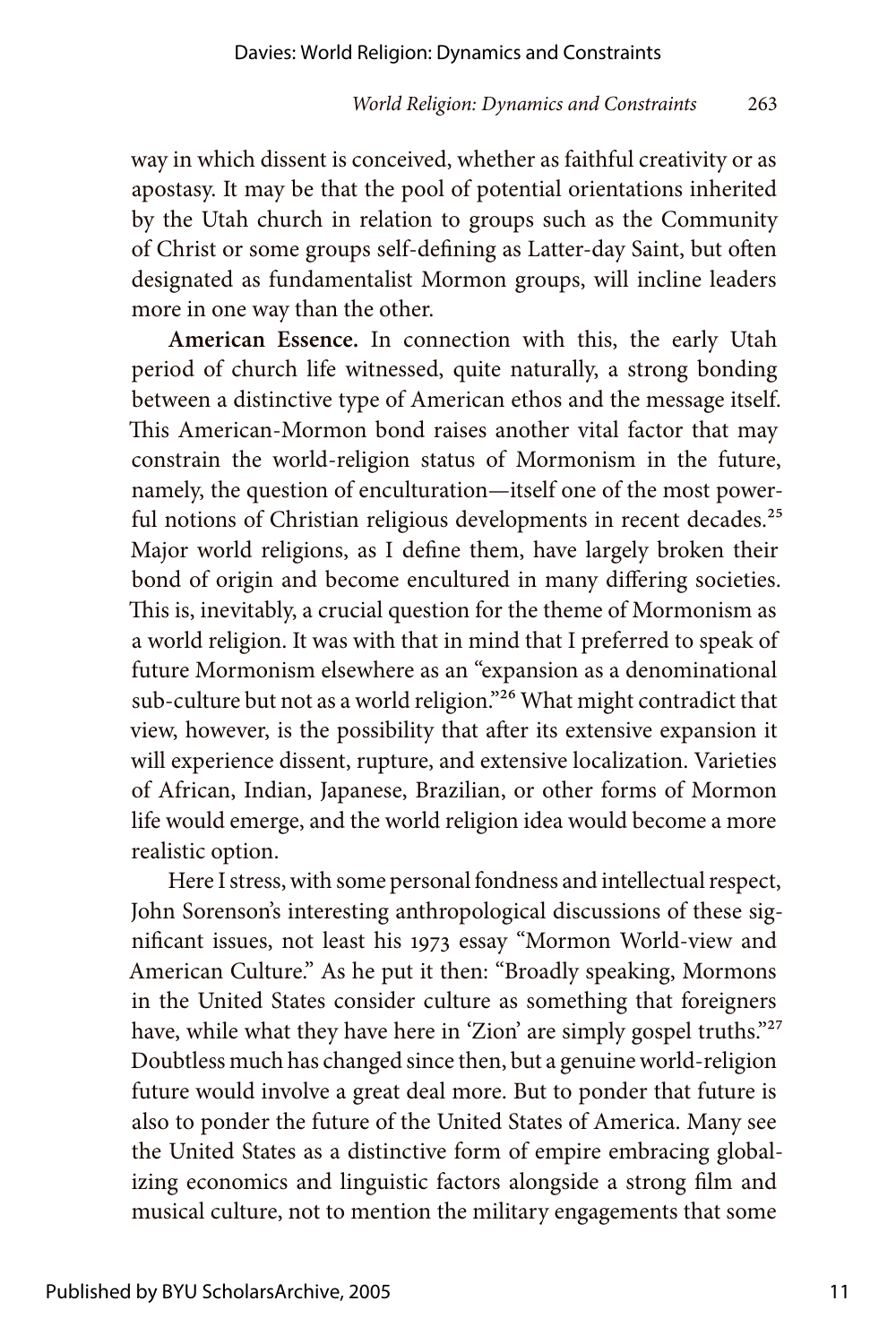way in which dissent is conceived, whether as faithful creativity or as apostasy. It may be that the pool of potential orientations inherited by the Utah church in relation to groups such as the Community of Christ or some groups self-defining as Latter-day Saint, but often designated as fundamentalist Mormon groups, will incline leaders more in one way than the other.

**American Essence.** In connection with this, the early Utah period of church life witnessed, quite naturally, a strong bonding between a distinctive type of American ethos and the message itself. This American-Mormon bond raises another vital factor that may constrain the world-religion status of Mormonism in the future, namely, the question of enculturation—itself one of the most powerful notions of Christian religious developments in recent decades.<sup>25</sup> Major world religions, as I define them, have largely broken their bond of origin and become encultured in many differing societies. This is, inevitably, a crucial question for the theme of Mormonism as a world religion. It was with that in mind that I preferred to speak of future Mormonism elsewhere as an "expansion as a denominational sub-culture but not as a world religion."<sup>26</sup> What might contradict that view, however, is the possibility that after its extensive expansion it will experience dissent, rupture, and extensive localization. Varieties of African, Indian, Japanese, Brazilian, or other forms of Mormon life would emerge, and the world religion idea would become a more realistic option.

 Here I stress, with some personal fondness and intellectual respect, John Sorenson's interesting anthropological discussions of these significant issues, not least his 973 essay "Mormon World-view and American Culture." As he put it then: "Broadly speaking, Mormons in the United States consider culture as something that foreigners have, while what they have here in 'Zion' are simply gospel truths."<sup>27</sup> Doubtless much has changed since then, but a genuine world-religion future would involve a great deal more. But to ponder that future is also to ponder the future of the United States of America. Many see the United States as a distinctive form of empire embracing globalizing economics and linguistic factors alongside a strong film and musical culture, not to mention the military engagements that some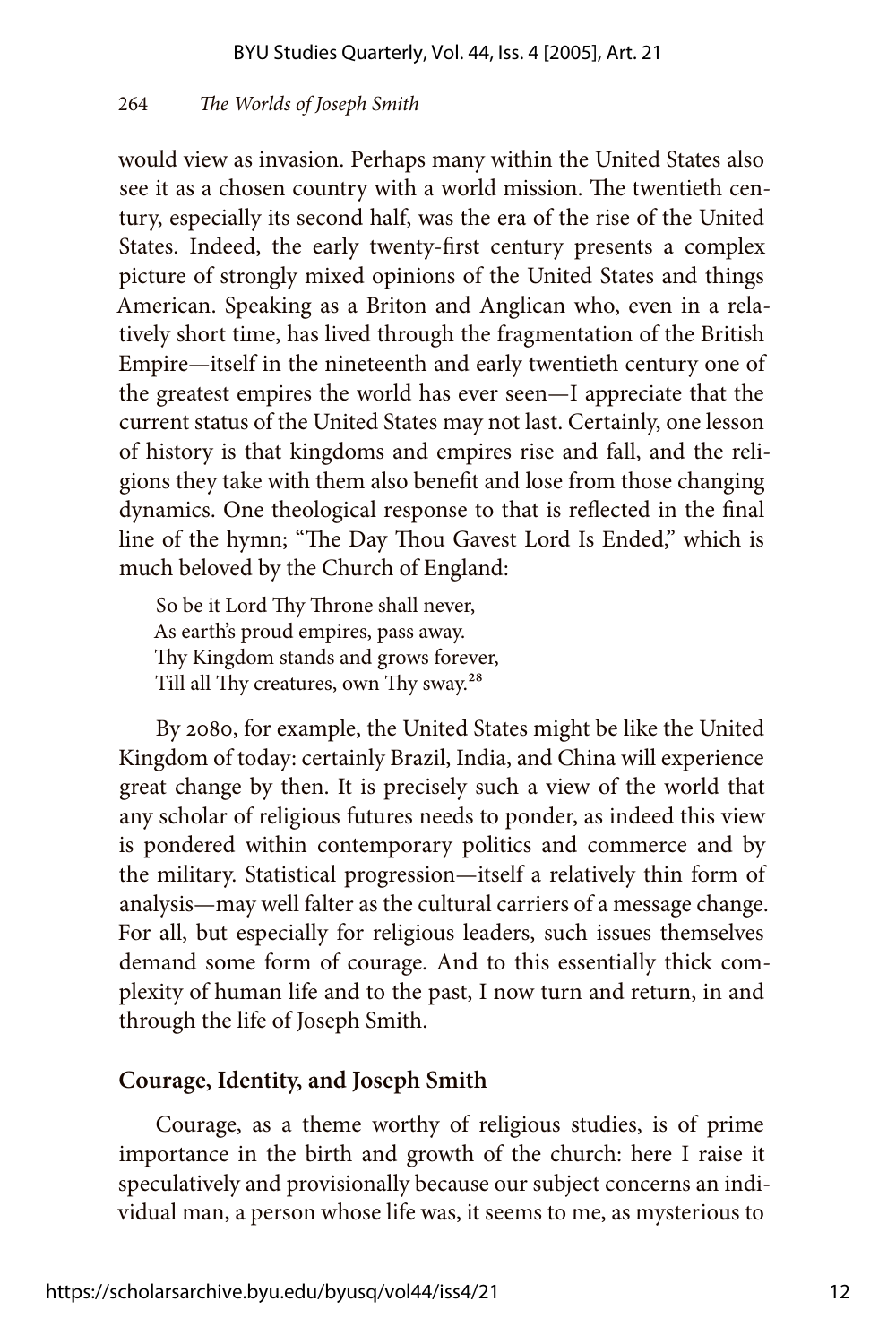would view as invasion. Perhaps many within the United States also see it as a chosen country with a world mission. The twentieth century, especially its second half, was the era of the rise of the United States. Indeed, the early twenty-first century presents a complex picture of strongly mixed opinions of the United States and things American. Speaking as a Briton and Anglican who, even in a relatively short time, has lived through the fragmentation of the British Empire—itself in the nineteenth and early twentieth century one of the greatest empires the world has ever seen—I appreciate that the current status of the United States may not last. Certainly, one lesson of history is that kingdoms and empires rise and fall, and the religions they take with them also benefit and lose from those changing dynamics. One theological response to that is reflected in the final line of the hymn; "The Day Thou Gavest Lord Is Ended," which is much beloved by the Church of England:

So be it Lord Thy Throne shall never, As earth's proud empires, pass away. Thy Kingdom stands and grows forever, Till all Thy creatures, own Thy sway.<sup>28</sup>

 By 2080, for example, the United States might be like the United Kingdom of today: certainly Brazil, India, and China will experience great change by then. It is precisely such a view of the world that any scholar of religious futures needs to ponder, as indeed this view is pondered within contemporary politics and commerce and by the military. Statistical progression—itself a relatively thin form of analysis—may well falter as the cultural carriers of a message change. For all, but especially for religious leaders, such issues themselves demand some form of courage. And to this essentially thick complexity of human life and to the past, I now turn and return, in and through the life of Joseph Smith.

### **Courage, Identity, and Joseph Smith**

 Courage, as a theme worthy of religious studies, is of prime importance in the birth and growth of the church: here I raise it speculatively and provisionally because our subject concerns an individual man, a person whose life was, it seems to me, as mysterious to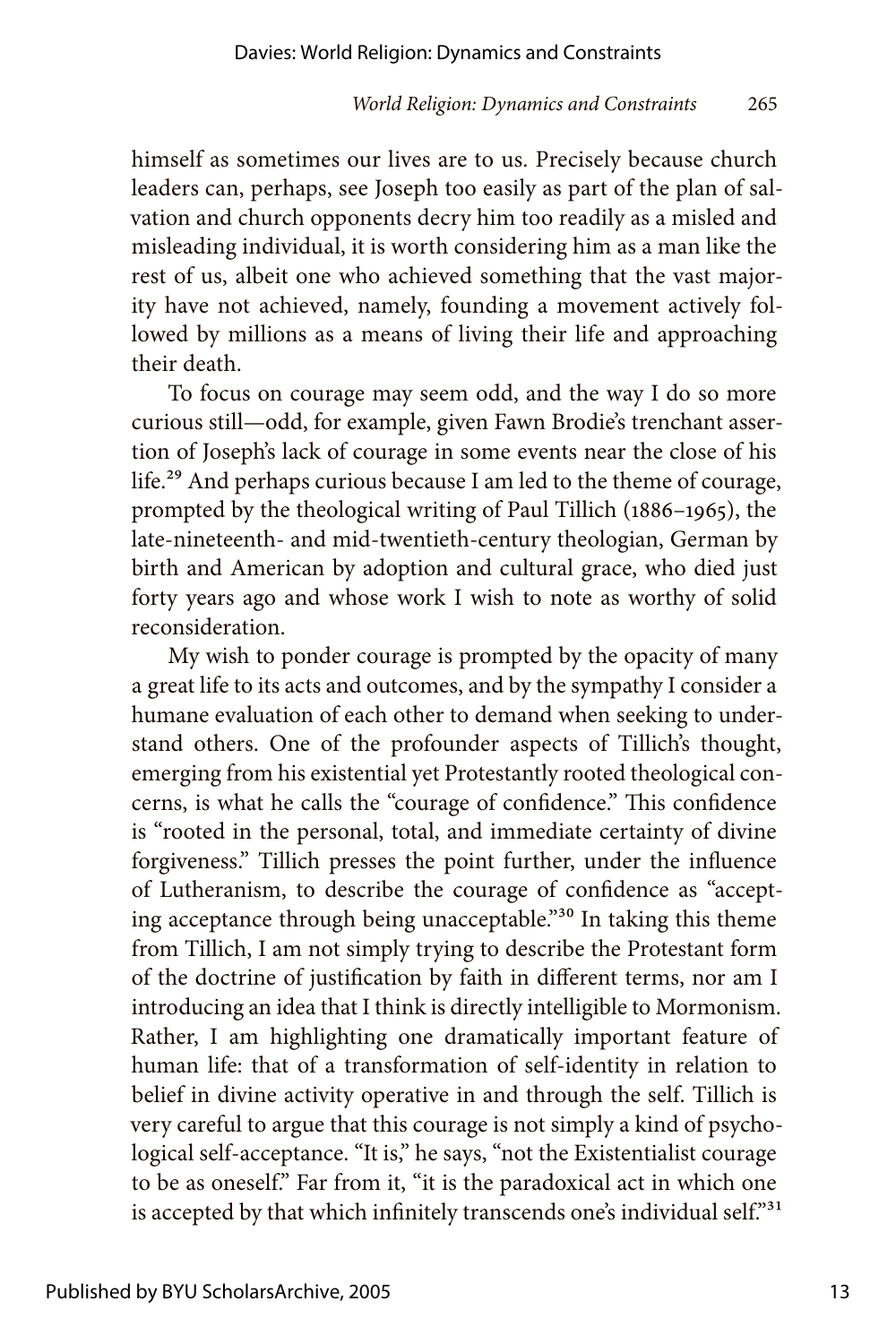himself as sometimes our lives are to us. Precisely because church leaders can, perhaps, see Joseph too easily as part of the plan of salvation and church opponents decry him too readily as a misled and misleading individual, it is worth considering him as a man like the rest of us, albeit one who achieved something that the vast majority have not achieved, namely, founding a movement actively followed by millions as a means of living their life and approaching their death.

 To focus on courage may seem odd, and the way I do so more curious still—odd, for example, given Fawn Brodie's trenchant assertion of Joseph's lack of courage in some events near the close of his life.<sup>29</sup> And perhaps curious because I am led to the theme of courage, prompted by the theological writing of Paul Tillich (1886-1965), the late-nineteenth- and mid-twentieth-century theologian, German by birth and American by adoption and cultural grace, who died just forty years ago and whose work I wish to note as worthy of solid reconsideration.

 My wish to ponder courage is prompted by the opacity of many a great life to its acts and outcomes, and by the sympathy I consider a humane evaluation of each other to demand when seeking to understand others. One of the profounder aspects of Tillich's thought, emerging from his existential yet Protestantly rooted theological concerns, is what he calls the "courage of confidence." This confidence is "rooted in the personal, total, and immediate certainty of divine forgiveness." Tillich presses the point further, under the influence of Lutheranism, to describe the courage of confidence as "accepting acceptance through being unacceptable."<sup>30</sup> In taking this theme from Tillich, I am not simply trying to describe the Protestant form of the doctrine of justification by faith in different terms, nor am I introducing an idea that I think is directly intelligible to Mormonism. Rather, I am highlighting one dramatically important feature of human life: that of a transformation of self-identity in relation to belief in divine activity operative in and through the self. Tillich is very careful to argue that this courage is not simply a kind of psychological self-acceptance. "It is," he says, "not the Existentialist courage to be as oneself." Far from it, "it is the paradoxical act in which one is accepted by that which infinitely transcends one's individual self."<sup>31</sup>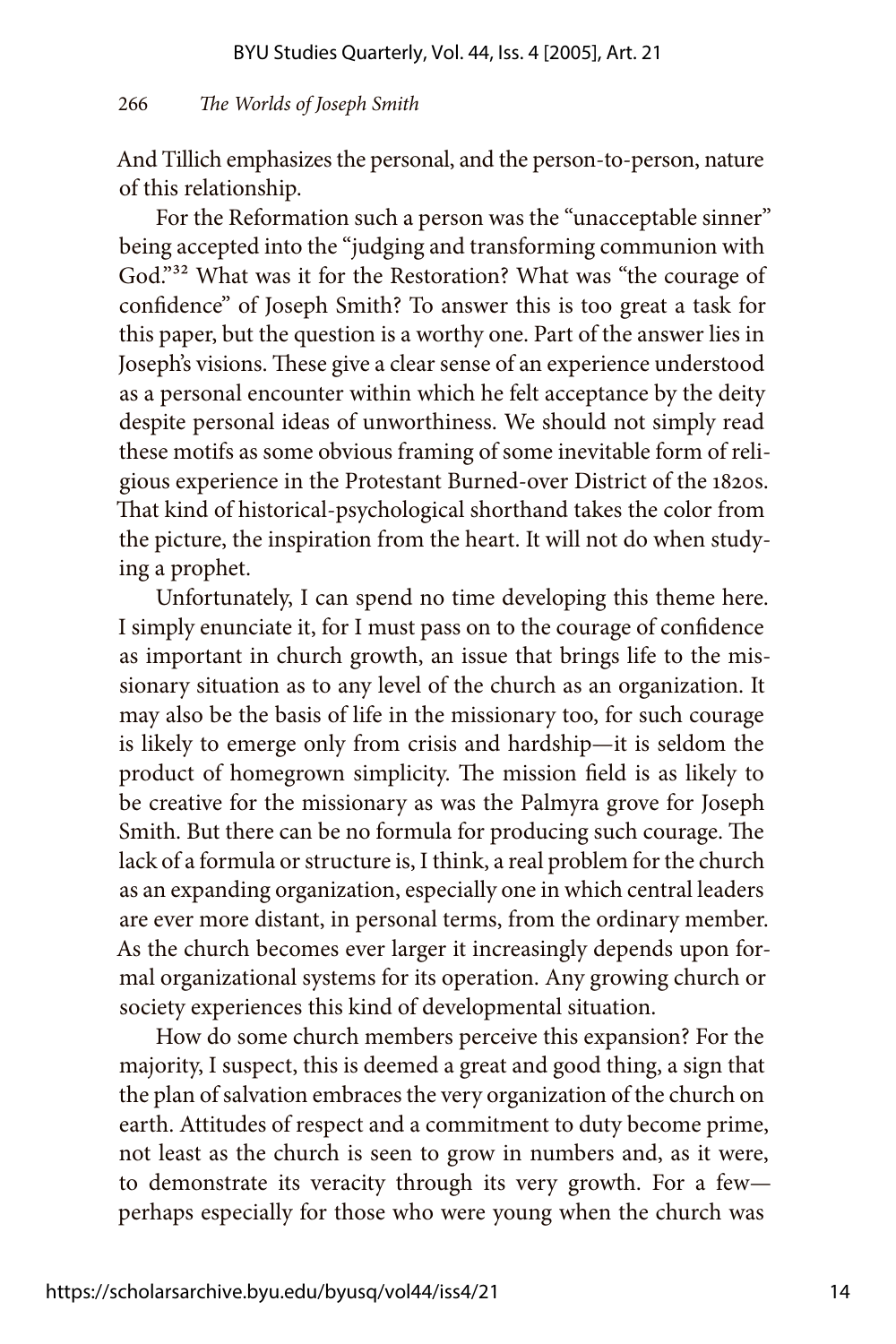And Tillich emphasizes the personal, and the person-to-person, nature of this relationship.

 For the Reformation such a person was the "unacceptable sinner" being accepted into the "judging and transforming communion with God."<sup>32</sup> What was it for the Restoration? What was "the courage of confidence" of Joseph Smith? To answer this is too great a task for this paper, but the question is a worthy one. Part of the answer lies in Joseph's visions. These give a clear sense of an experience understood as a personal encounter within which he felt acceptance by the deity despite personal ideas of unworthiness. We should not simply read these motifs as some obvious framing of some inevitable form of religious experience in the Protestant Burned-over District of the 1820s. That kind of historical-psychological shorthand takes the color from the picture, the inspiration from the heart. It will not do when studying a prophet.

 Unfortunately, I can spend no time developing this theme here. I simply enunciate it, for I must pass on to the courage of confidence as important in church growth, an issue that brings life to the missionary situation as to any level of the church as an organization. It may also be the basis of life in the missionary too, for such courage is likely to emerge only from crisis and hardship—it is seldom the product of homegrown simplicity. The mission field is as likely to be creative for the missionary as was the Palmyra grove for Joseph Smith. But there can be no formula for producing such courage. The lack of a formula or structure is, I think, a real problem for the church as an expanding organization, especially one in which central leaders are ever more distant, in personal terms, from the ordinary member. As the church becomes ever larger it increasingly depends upon formal organizational systems for its operation. Any growing church or society experiences this kind of developmental situation.

 How do some church members perceive this expansion? For the majority, I suspect, this is deemed a great and good thing, a sign that the plan of salvation embraces the very organization of the church on earth. Attitudes of respect and a commitment to duty become prime, not least as the church is seen to grow in numbers and, as it were, to demonstrate its veracity through its very growth. For a few perhaps especially for those who were young when the church was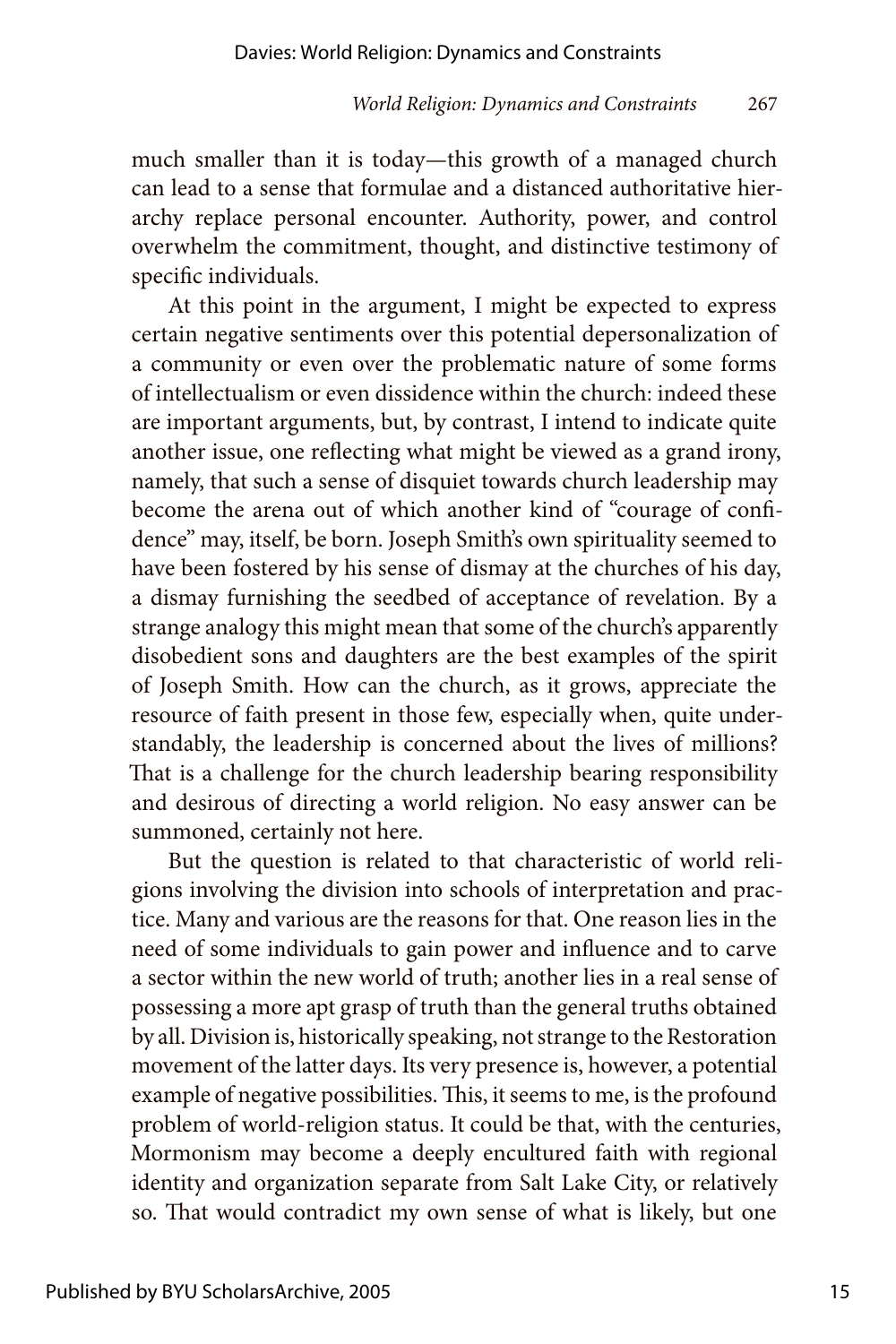much smaller than it is today—this growth of a managed church can lead to a sense that formulae and a distanced authoritative hierarchy replace personal encounter. Authority, power, and control overwhelm the commitment, thought, and distinctive testimony of specific individuals.

 At this point in the argument, I might be expected to express certain negative sentiments over this potential depersonalization of a community or even over the problematic nature of some forms of intellectualism or even dissidence within the church: indeed these are important arguments, but, by contrast, I intend to indicate quite another issue, one reflecting what might be viewed as a grand irony, namely, that such a sense of disquiet towards church leadership may become the arena out of which another kind of "courage of confidence" may, itself, be born. Joseph Smith's own spirituality seemed to have been fostered by his sense of dismay at the churches of his day, a dismay furnishing the seedbed of acceptance of revelation. By a strange analogy this might mean that some of the church's apparently disobedient sons and daughters are the best examples of the spirit of Joseph Smith. How can the church, as it grows, appreciate the resource of faith present in those few, especially when, quite understandably, the leadership is concerned about the lives of millions? That is a challenge for the church leadership bearing responsibility and desirous of directing a world religion. No easy answer can be summoned, certainly not here.

 But the question is related to that characteristic of world religions involving the division into schools of interpretation and practice. Many and various are the reasons for that. One reason lies in the need of some individuals to gain power and influence and to carve a sector within the new world of truth; another lies in a real sense of possessing a more apt grasp of truth than the general truths obtained by all. Division is, historically speaking, not strange to the Restoration movement of the latter days. Its very presence is, however, a potential example of negative possibilities. This, it seems to me, is the profound problem of world-religion status. It could be that, with the centuries, Mormonism may become a deeply encultured faith with regional identity and organization separate from Salt Lake City, or relatively so. That would contradict my own sense of what is likely, but one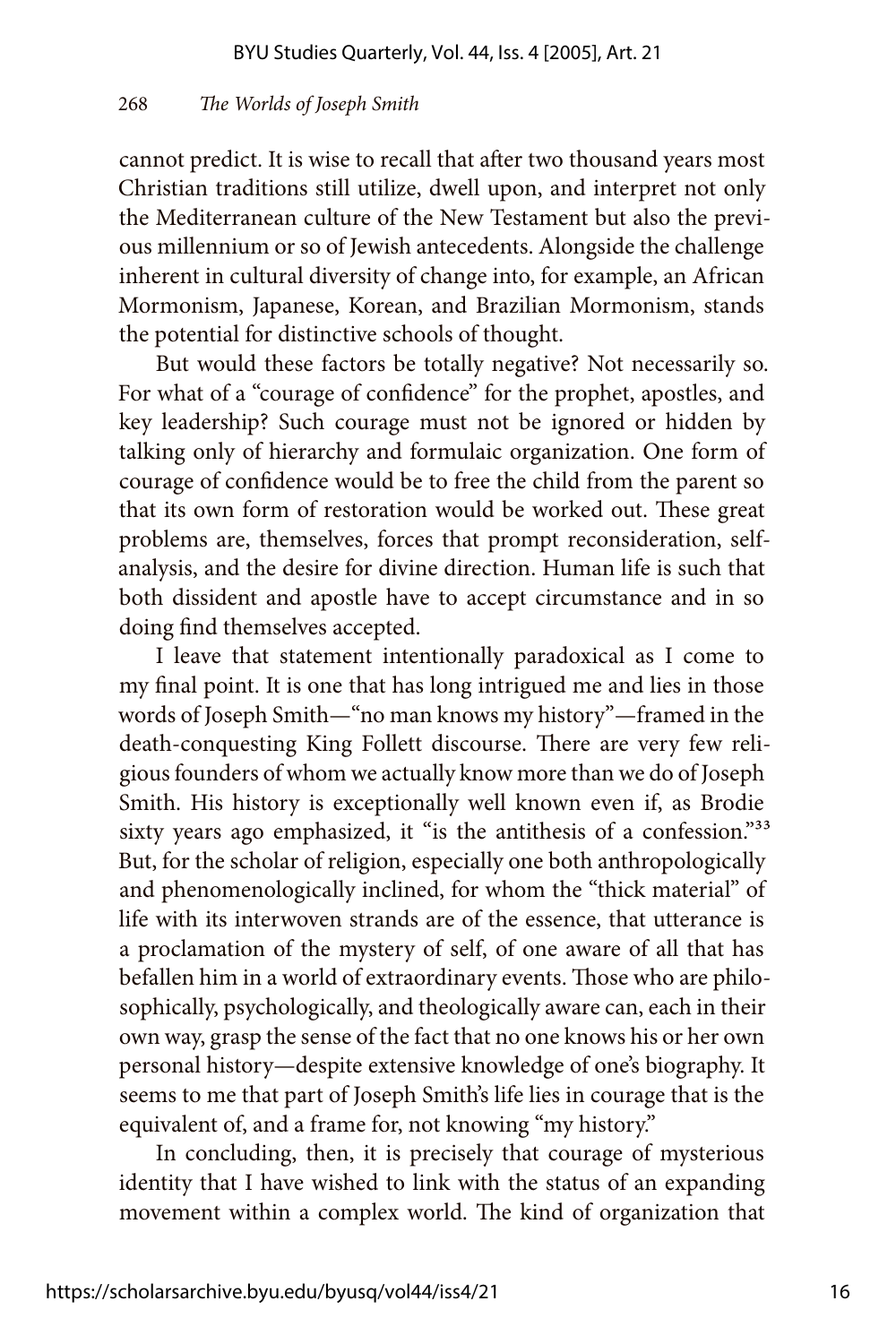cannot predict. It is wise to recall that after two thousand years most Christian traditions still utilize, dwell upon, and interpret not only the Mediterranean culture of the New Testament but also the previous millennium or so of Jewish antecedents. Alongside the challenge inherent in cultural diversity of change into, for example, an African Mormonism, Japanese, Korean, and Brazilian Mormonism, stands the potential for distinctive schools of thought.

 But would these factors be totally negative? Not necessarily so. For what of a "courage of confidence" for the prophet, apostles, and key leadership? Such courage must not be ignored or hidden by talking only of hierarchy and formulaic organization. One form of courage of confidence would be to free the child from the parent so that its own form of restoration would be worked out. These great problems are, themselves, forces that prompt reconsideration, selfanalysis, and the desire for divine direction. Human life is such that both dissident and apostle have to accept circumstance and in so doing find themselves accepted.

 I leave that statement intentionally paradoxical as I come to my final point. It is one that has long intrigued me and lies in those words of Joseph Smith—"no man knows my history"—framed in the death-conquesting King Follett discourse. There are very few religious founders of whom we actually know more than we do of Joseph Smith. His history is exceptionally well known even if, as Brodie sixty years ago emphasized, it "is the antithesis of a confession."33 But, for the scholar of religion, especially one both anthropologically and phenomenologically inclined, for whom the "thick material" of life with its interwoven strands are of the essence, that utterance is a proclamation of the mystery of self, of one aware of all that has befallen him in a world of extraordinary events. Those who are philosophically, psychologically, and theologically aware can, each in their own way, grasp the sense of the fact that no one knows his or her own personal history—despite extensive knowledge of one's biography. It seems to me that part of Joseph Smith's life lies in courage that is the equivalent of, and a frame for, not knowing "my history."

 In concluding, then, it is precisely that courage of mysterious identity that I have wished to link with the status of an expanding movement within a complex world. The kind of organization that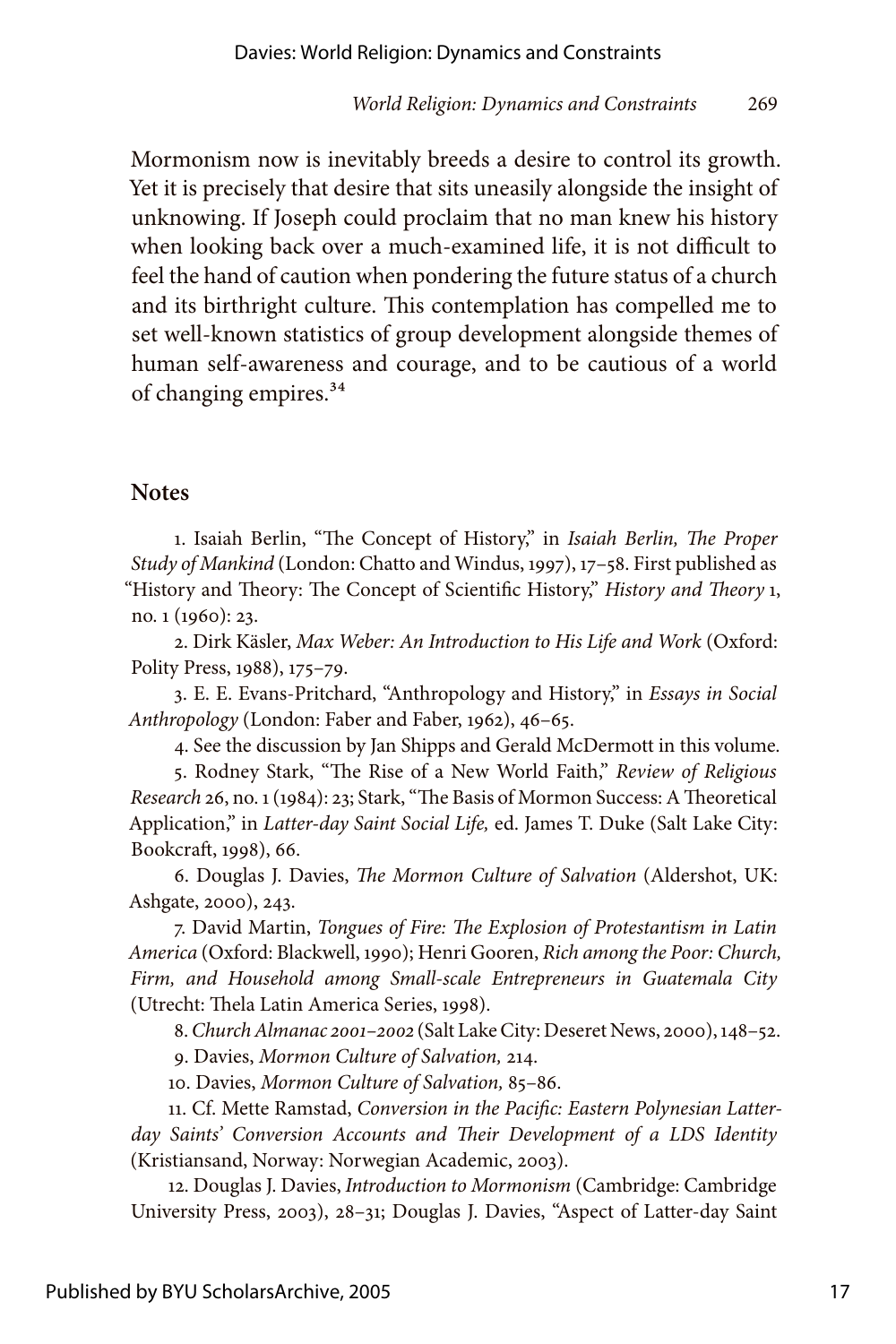Mormonism now is inevitably breeds a desire to control its growth. Yet it is precisely that desire that sits uneasily alongside the insight of unknowing. If Joseph could proclaim that no man knew his history when looking back over a much-examined life, it is not difficult to feel the hand of caution when pondering the future status of a church and its birthright culture. This contemplation has compelled me to set well-known statistics of group development alongside themes of human self-awareness and courage, and to be cautious of a world of changing empires.<sup>34</sup>

## **Notes**

 . Isaiah Berlin, "The Concept of History," in *Isaiah Berlin, The Proper Study of Mankind* (London: Chatto and Windus, 1997), 17-58. First published as "History and Theory: The Concept of Scientific History," *History and Theory* , no.  $1(1960): 23$ .

 2. Dirk Käsler, *Max Weber: An Introduction to His Life and Work* (Oxford: Polity Press, 1988), 175–79.

 3. E. E. Evans-Pritchard, "Anthropology and History," in *Essays in Social*  Anthropology (London: Faber and Faber, 1962), 46-65.

4. See the discussion by Jan Shipps and Gerald McDermott in this volume.

 5. Rodney Stark, "The Rise of a New World Faith," *Review of Religious Research* 26, no. 1 (1984): 23; Stark, "The Basis of Mormon Success: A Theoretical Application," in *Latter-day Saint Social Life,* ed. James T. Duke (Salt Lake City: Bookcraft, 998), 66.

 6. Douglas J. Davies, *The Mormon Culture of Salvation* (Aldershot, UK: Ashgate, 2000), 243.

 7. David Martin, *Tongues of Fire: The Explosion of Protestantism in Latin America* (Oxford: Blackwell, 990); Henri Gooren, *Rich among the Poor: Church, Firm, and Household among Small-scale Entrepreneurs in Guatemala City* (Utrecht: Thela Latin America Series, 1998).

8. *Church Almanac 200–2002* (Salt Lake City: Deseret News, 2000), 48–52.

9. Davies, *Mormon Culture of Salvation,* 24.

0. Davies, *Mormon Culture of Salvation,* 85–86.

 . Cf. Mette Ramstad, *Conversion in the Pacific: Eastern Polynesian Latterday Saints' Conversion Accounts and Their Development of a LDS Identity* (Kristiansand, Norway: Norwegian Academic, 2003).

 2. Douglas J. Davies, *Introduction to Mormonism* (Cambridge: Cambridge University Press, 2003), 28–3; Douglas J. Davies, "Aspect of Latter-day Saint